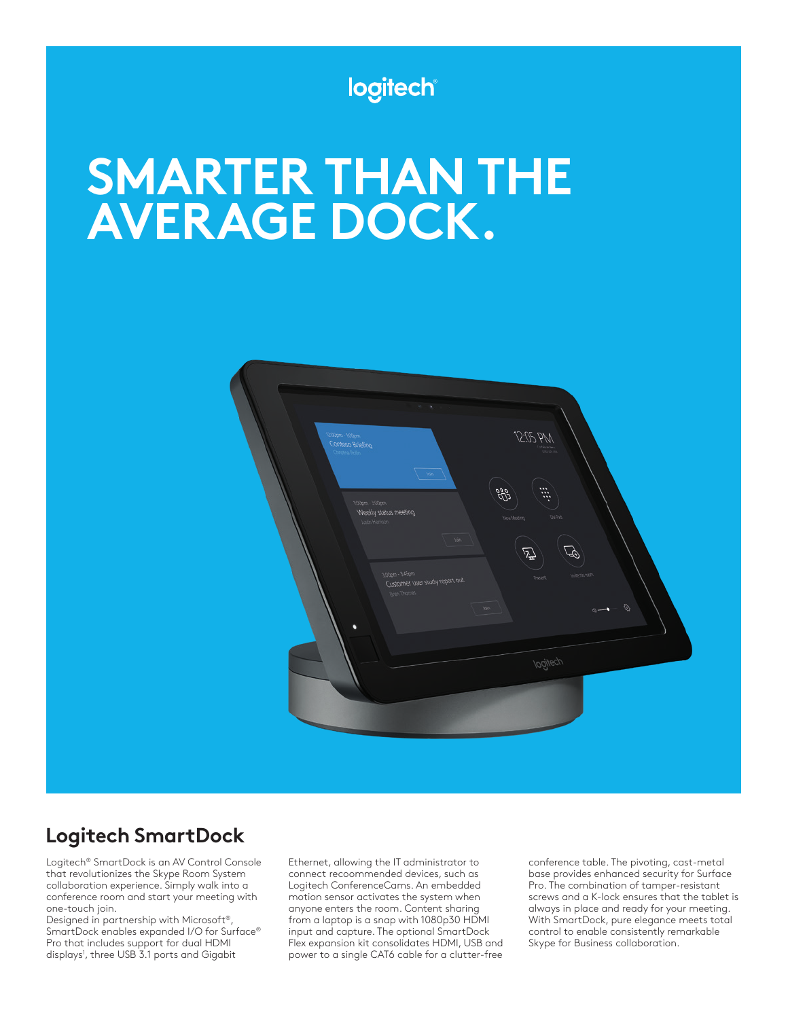

# **SMARTER THAN THE AVERAGE DOCK.**



## **Logitech SmartDock**

Logitech® SmartDock is an AV Control Console that revolutionizes the Skype Room System collaboration experience. Simply walk into a conference room and start your meeting with one-touch join.

Designed in partnership with Microsoft®, SmartDock enables expanded I/O for Surface® Pro that includes support for dual HDMI displays<sup>1</sup>, three USB 3.1 ports and Gigabit

Ethernet, allowing the IT administrator to connect recoommended devices, such as Logitech ConferenceCams. An embedded motion sensor activates the system when anyone enters the room. Content sharing from a laptop is a snap with 1080p30 HDMI input and capture. The optional SmartDock Flex expansion kit consolidates HDMI, USB and power to a single CAT6 cable for a clutter-free

conference table. The pivoting, cast-metal base provides enhanced security for Surface Pro. The combination of tamper-resistant screws and a K-lock ensures that the tablet is always in place and ready for your meeting. With SmartDock, pure elegance meets total control to enable consistently remarkable Skype for Business collaboration.